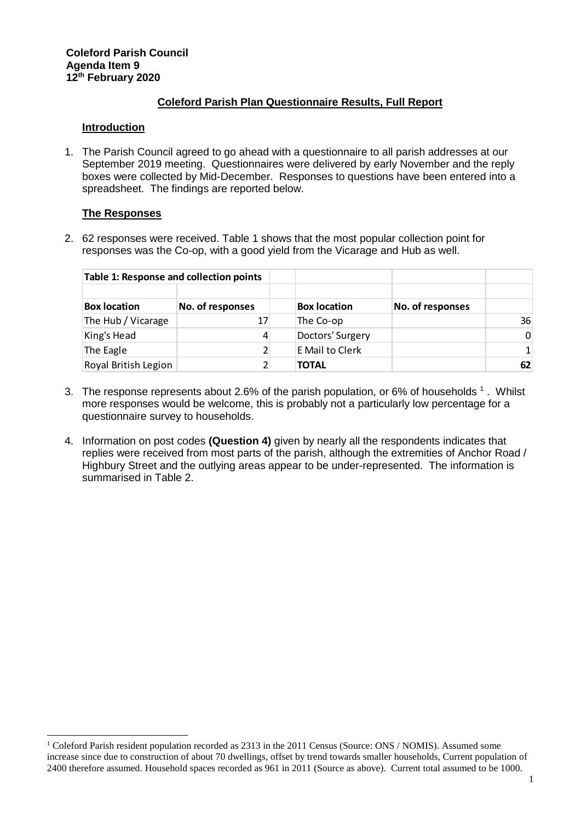## **Coleford Parish Plan Questionnaire Results, Full Report**

## **Introduction**

1. The Parish Council agreed to go ahead with a questionnaire to all parish addresses at our September 2019 meeting. Questionnaires were delivered by early November and the reply boxes were collected by Mid-December. Responses to questions have been entered into a spreadsheet. The findings are reported below.

## **The Responses**

l

2. 62 responses were received. Table 1 shows that the most popular collection point for responses was the Co-op, with a good yield from the Vicarage and Hub as well.

| Table 1: Response and collection points |                  |                     |                  |                |
|-----------------------------------------|------------------|---------------------|------------------|----------------|
| <b>Box location</b>                     | No. of responses | <b>Box location</b> | No. of responses |                |
| The Hub / Vicarage                      | 17               | The Co-op           |                  | 36             |
| King's Head                             | 4                | Doctors' Surgery    |                  | $\overline{0}$ |
| The Eagle                               | 2                | E Mail to Clerk     |                  | 1 <sup>1</sup> |
| Royal British Legion                    | 2                | <b>TOTAL</b>        |                  | 62             |

- 3. The response represents about 2.6% of the parish population, or 6% of households  $1$ . Whilst more responses would be welcome, this is probably not a particularly low percentage for a questionnaire survey to households.
- 4. Information on post codes **(Question 4)** given by nearly all the respondents indicates that replies were received from most parts of the parish, although the extremities of Anchor Road / Highbury Street and the outlying areas appear to be under-represented. The information is summarised in Table 2.

<sup>&</sup>lt;sup>1</sup> Coleford Parish resident population recorded as 2313 in the 2011 Census (Source: ONS / NOMIS). Assumed some increase since due to construction of about 70 dwellings, offset by trend towards smaller households, Current population of 2400 therefore assumed. Household spaces recorded as 961 in 2011 (Source as above). Current total assumed to be 1000.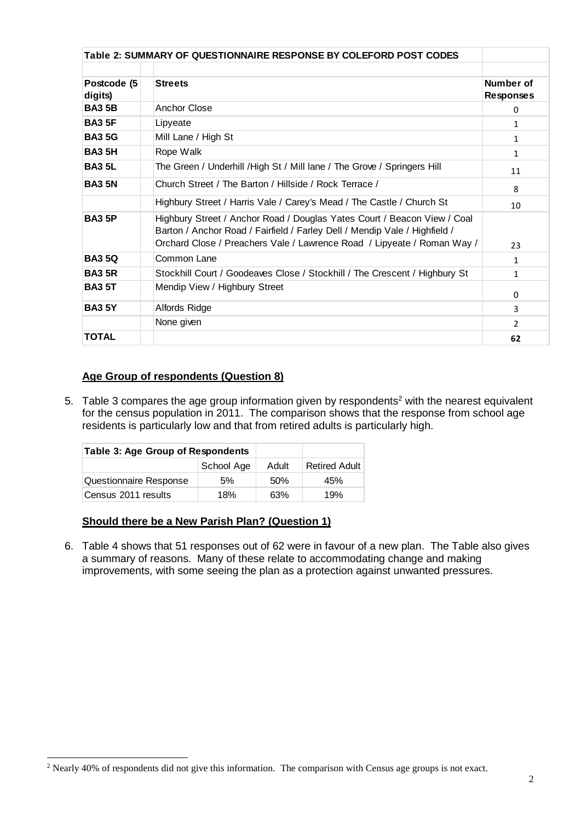|                        | Table 2: SUMMARY OF QUESTIONNAIRE RESPONSE BY COLEFORD POST CODES                                                                                                                                                                 |                               |
|------------------------|-----------------------------------------------------------------------------------------------------------------------------------------------------------------------------------------------------------------------------------|-------------------------------|
|                        |                                                                                                                                                                                                                                   |                               |
| Postcode (5<br>digits) | <b>Streets</b>                                                                                                                                                                                                                    | Number of<br><b>Responses</b> |
| <b>BA3 5B</b>          | Anchor Close                                                                                                                                                                                                                      | $\Omega$                      |
| <b>BA3 5F</b>          | Lipyeate                                                                                                                                                                                                                          | 1                             |
| <b>BA35G</b>           | Mill Lane / High St                                                                                                                                                                                                               | $\mathbf{1}$                  |
| <b>BA3 5H</b>          | Rope Walk                                                                                                                                                                                                                         | $\mathbf{1}$                  |
| <b>BA3 5L</b>          | The Green / Underhill / High St / Mill lane / The Grove / Springers Hill                                                                                                                                                          | 11                            |
| <b>BA3 5N</b>          | Church Street / The Barton / Hillside / Rock Terrace /                                                                                                                                                                            | 8                             |
|                        | Highbury Street / Harris Vale / Carey's Mead / The Castle / Church St                                                                                                                                                             | 10                            |
| <b>BA3 5P</b>          | Highbury Street / Anchor Road / Douglas Yates Court / Beacon View / Coal<br>Barton / Anchor Road / Fairfield / Farley Dell / Mendip Vale / Highfield /<br>Orchard Close / Preachers Vale / Lawrence Road / Lipyeate / Roman Way / | 23                            |
| <b>BA350</b>           | Common Lane                                                                                                                                                                                                                       | $\mathbf{1}$                  |
| <b>BA3 5R</b>          | Stockhill Court / Goodeaves Close / Stockhill / The Crescent / Highbury St                                                                                                                                                        | 1                             |
| <b>BA3 5T</b>          | Mendip View / Highbury Street                                                                                                                                                                                                     | $\Omega$                      |
| <b>BA3 5Y</b>          | Alfords Ridge                                                                                                                                                                                                                     | 3                             |
|                        | None given                                                                                                                                                                                                                        | $\mathcal{P}$                 |
| <b>TOTAL</b>           |                                                                                                                                                                                                                                   | 62                            |

## **Age Group of respondents (Question 8)**

5. Table 3 compares the age group information given by respondents<sup>2</sup> with the nearest equivalent for the census population in 2011. The comparison shows that the response from school age residents is particularly low and that from retired adults is particularly high.

| Table 3: Age Group of Respondents |            |       |                      |
|-----------------------------------|------------|-------|----------------------|
|                                   | School Age | Adult | <b>Retired Adult</b> |
| Questionnaire Response            | .5%        | .50%  | 45%                  |
| Census 2011 results               | 18%        | 63%   | 19%                  |

## **Should there be a New Parish Plan? (Question 1)**

l

6. Table 4 shows that 51 responses out of 62 were in favour of a new plan. The Table also gives a summary of reasons. Many of these relate to accommodating change and making improvements, with some seeing the plan as a protection against unwanted pressures.

<sup>&</sup>lt;sup>2</sup> Nearly 40% of respondents did not give this information. The comparison with Census age groups is not exact.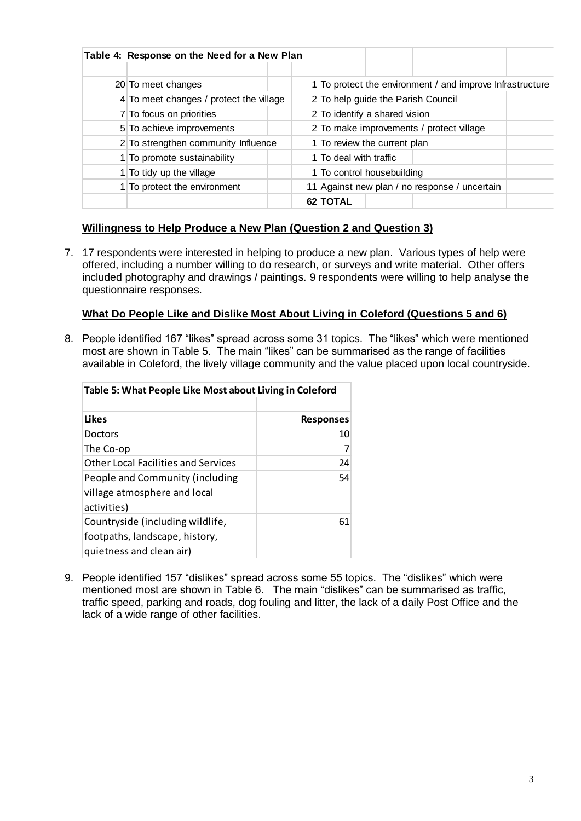| Table 4: Response on the Need for a New Plan |  |  |                        |                                               |  |  |                                                           |  |
|----------------------------------------------|--|--|------------------------|-----------------------------------------------|--|--|-----------------------------------------------------------|--|
|                                              |  |  |                        |                                               |  |  |                                                           |  |
| 20 To meet changes                           |  |  |                        |                                               |  |  | 1 To protect the environment / and improve Infrastructure |  |
| 4 To meet changes / protect the village      |  |  |                        | 2 To help guide the Parish Council            |  |  |                                                           |  |
| 7 To focus on priorities                     |  |  |                        | 2 To identify a shared vision                 |  |  |                                                           |  |
| 5 To achieve improvements                    |  |  |                        | 2 To make improvements / protect village      |  |  |                                                           |  |
| 2 To strengthen community Influence          |  |  |                        | 1 To review the current plan                  |  |  |                                                           |  |
| 1 To promote sustainability                  |  |  | 1 To deal with traffic |                                               |  |  |                                                           |  |
| 1 To tidy up the village                     |  |  |                        | 1 To control housebuilding                    |  |  |                                                           |  |
| 1 To protect the environment                 |  |  |                        | 11 Against new plan / no response / uncertain |  |  |                                                           |  |
|                                              |  |  |                        | 62 TOTAL                                      |  |  |                                                           |  |

## **Willingness to Help Produce a New Plan (Question 2 and Question 3)**

7. 17 respondents were interested in helping to produce a new plan. Various types of help were offered, including a number willing to do research, or surveys and write material. Other offers included photography and drawings / paintings. 9 respondents were willing to help analyse the questionnaire responses.

## **What Do People Like and Dislike Most About Living in Coleford (Questions 5 and 6)**

8. People identified 167 "likes" spread across some 31 topics. The "likes" which were mentioned most are shown in Table 5. The main "likes" can be summarised as the range of facilities available in Coleford, the lively village community and the value placed upon local countryside.

| Table 5: What People Like Most about Living in Coleford                                        |                  |  |
|------------------------------------------------------------------------------------------------|------------------|--|
| <b>Likes</b>                                                                                   | <b>Responses</b> |  |
| Doctors                                                                                        | 10               |  |
| The Co-op                                                                                      |                  |  |
| Other Local Facilities and Services                                                            | 24               |  |
| People and Community (including<br>village atmosphere and local<br>activities)                 | 54               |  |
| Countryside (including wildlife,<br>footpaths, landscape, history,<br>quietness and clean air) | 61               |  |

9. People identified 157 "dislikes" spread across some 55 topics. The "dislikes" which were mentioned most are shown in Table 6. The main "dislikes" can be summarised as traffic, traffic speed, parking and roads, dog fouling and litter, the lack of a daily Post Office and the lack of a wide range of other facilities.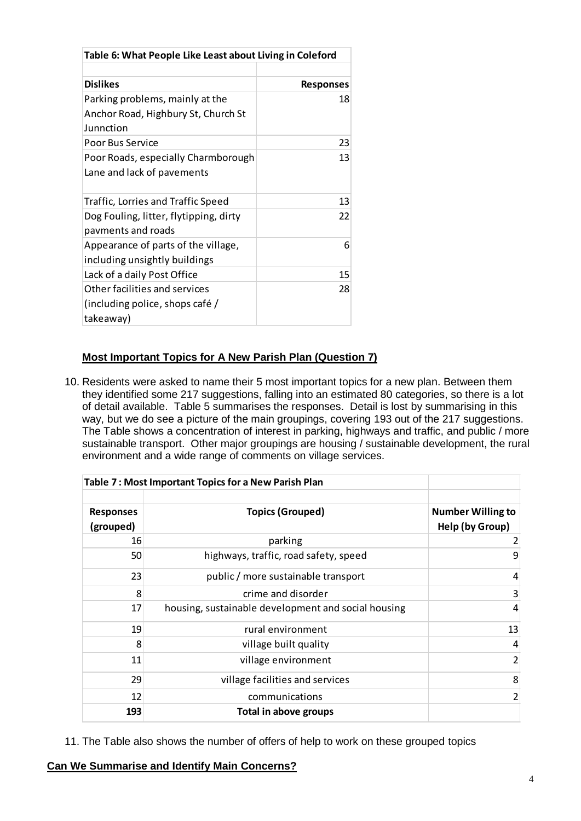| Table 6: What People Like Least about Living in Coleford |                  |  |
|----------------------------------------------------------|------------------|--|
|                                                          |                  |  |
| <b>Dislikes</b>                                          | <b>Responses</b> |  |
| Parking problems, mainly at the                          | 18               |  |
| Anchor Road, Highbury St, Church St<br>Junnction         |                  |  |
| Poor Bus Service                                         | 23               |  |
| Poor Roads, especially Charmborough                      | 13               |  |
| Lane and lack of pavements                               |                  |  |
| Traffic, Lorries and Traffic Speed                       | 13               |  |
| Dog Fouling, litter, flytipping, dirty                   | 22               |  |
| pavments and roads                                       |                  |  |
| Appearance of parts of the village,                      | 6                |  |
| including unsightly buildings                            |                  |  |
| Lack of a daily Post Office                              | 15               |  |
| Other facilities and services                            | 28               |  |
| (including police, shops café /                          |                  |  |
| takeaway)                                                |                  |  |

# **Most Important Topics for A New Parish Plan (Question 7)**

10. Residents were asked to name their 5 most important topics for a new plan. Between them they identified some 217 suggestions, falling into an estimated 80 categories, so there is a lot of detail available. Table 5 summarises the responses. Detail is lost by summarising in this way, but we do see a picture of the main groupings, covering 193 out of the 217 suggestions. The Table shows a concentration of interest in parking, highways and traffic, and public / more sustainable transport. Other major groupings are housing / sustainable development, the rural environment and a wide range of comments on village services.

|                               | Table 7: Most Important Topics for a New Parish Plan |                                             |
|-------------------------------|------------------------------------------------------|---------------------------------------------|
| <b>Responses</b><br>(grouped) | <b>Topics (Grouped)</b>                              | <b>Number Willing to</b><br>Help (by Group) |
| 16                            | parking                                              | 2                                           |
| 50                            | highways, traffic, road safety, speed                | 9                                           |
| 23                            | public / more sustainable transport                  | 4                                           |
| 8                             | crime and disorder                                   | 3                                           |
| 17                            | housing, sustainable development and social housing  | 4                                           |
| 19                            | rural environment                                    | 13                                          |
| 8                             | village built quality                                | 4                                           |
| 11                            | village environment                                  | $\overline{2}$                              |
| 29                            | village facilities and services                      | 8                                           |
| 12                            | communications                                       | 2                                           |
| 193                           | Total in above groups                                |                                             |

11. The Table also shows the number of offers of help to work on these grouped topics

## **Can We Summarise and Identify Main Concerns?**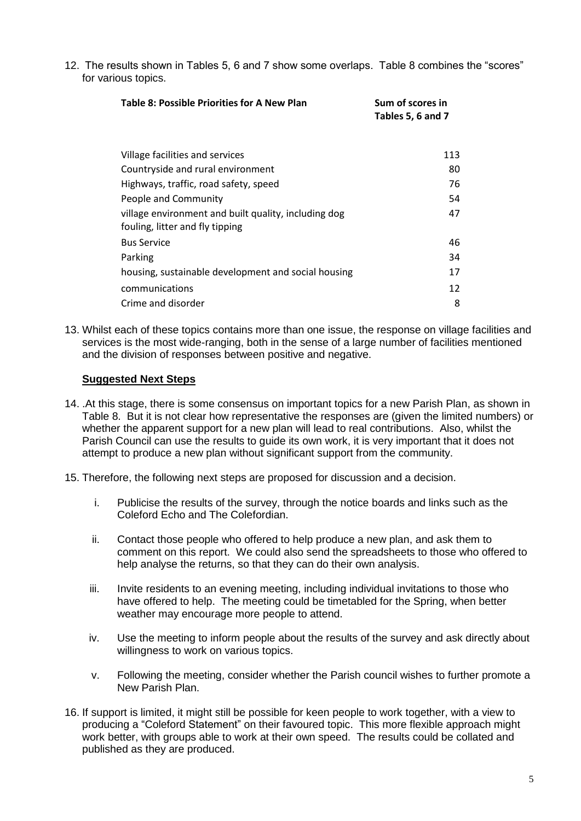12. The results shown in Tables 5, 6 and 7 show some overlaps. Table 8 combines the "scores" for various topics.

| <b>Table 8: Possible Priorities for A New Plan</b>                                      | Sum of scores in<br>Tables 5, 6 and 7 |  |
|-----------------------------------------------------------------------------------------|---------------------------------------|--|
| Village facilities and services                                                         | 113                                   |  |
| Countryside and rural environment                                                       | 80                                    |  |
| Highways, traffic, road safety, speed                                                   | 76                                    |  |
| People and Community                                                                    | 54                                    |  |
| village environment and built quality, including dog<br>fouling, litter and fly tipping | 47                                    |  |
| <b>Bus Service</b>                                                                      | 46                                    |  |
| Parking                                                                                 | 34                                    |  |
| housing, sustainable development and social housing                                     | 17                                    |  |
| communications                                                                          | 12                                    |  |
| Crime and disorder                                                                      | 8                                     |  |

13. Whilst each of these topics contains more than one issue, the response on village facilities and services is the most wide-ranging, both in the sense of a large number of facilities mentioned and the division of responses between positive and negative.

## **Suggested Next Steps**

- 14. .At this stage, there is some consensus on important topics for a new Parish Plan, as shown in Table 8. But it is not clear how representative the responses are (given the limited numbers) or whether the apparent support for a new plan will lead to real contributions. Also, whilst the Parish Council can use the results to guide its own work, it is very important that it does not attempt to produce a new plan without significant support from the community.
- 15. Therefore, the following next steps are proposed for discussion and a decision.
	- i. Publicise the results of the survey, through the notice boards and links such as the Coleford Echo and The Colefordian.
	- ii. Contact those people who offered to help produce a new plan, and ask them to comment on this report. We could also send the spreadsheets to those who offered to help analyse the returns, so that they can do their own analysis.
	- iii. Invite residents to an evening meeting, including individual invitations to those who have offered to help. The meeting could be timetabled for the Spring, when better weather may encourage more people to attend.
	- iv. Use the meeting to inform people about the results of the survey and ask directly about willingness to work on various topics.
	- v. Following the meeting, consider whether the Parish council wishes to further promote a New Parish Plan.
- 16. If support is limited, it might still be possible for keen people to work together, with a view to producing a "Coleford Statement" on their favoured topic. This more flexible approach might work better, with groups able to work at their own speed. The results could be collated and published as they are produced.